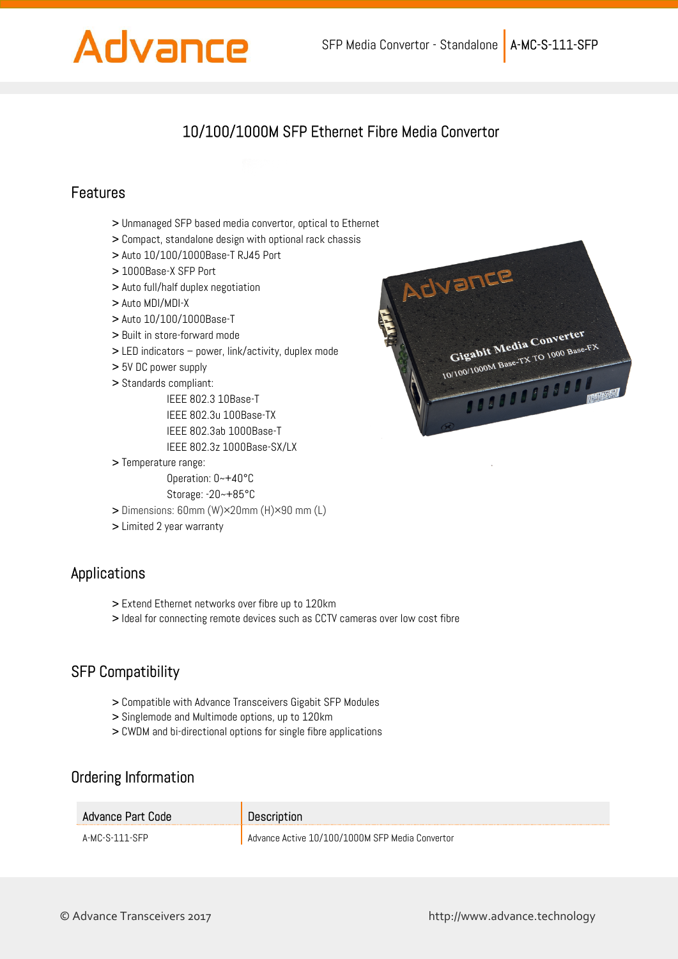# Advance

## 10/100/1000M SFP Ethernet Fibre Media Convertor

#### Features

- 
- > Compact, standalone design with optional rack chassis
- > Auto 10/100/1000Base-T RJ45 Port
- > 1000Base-X SFP Port
- > Auto full/half duplex negotiation
- > Auto MDI/MDI-X
- > Auto 10/100/1000Base-T
- > Built in store-forward mode
- > LED indicators power, link/activity, duplex mode
- > 5V DC power supply
- > Standards compliant:
	- IEEE 802.3 10Base-T
	- IEEE 802.3u 100Base-TX
	- IEEE 802.3ab 1000Base-T
	- IEEE 802.3z 1000Base-SX/LX
- > Temperature range:
	- Operation: 0~+40°C
	- Storage: -20~+85°C
- > Dimensions: 60mm (W)×20mm (H)×90 mm (L)
- > Limited 2 year warranty

#### Applications

- > Extend Ethernet networks over fibre up to 120km
- > Ideal for connecting remote devices such as CCTV cameras over low cost fibre

#### SFP Compatibility

- > Compatible with Advance Transceivers Gigabit SFP Modules
- > Singlemode and Multimode options, up to 120km
- > CWDM and bi-directional options for single fibre applications

#### Ordering Information

| Advance Part Code | Description                                     |
|-------------------|-------------------------------------------------|
| A-MC-S-111-SFP    | Advance Active 10/100/1000M SFP Media Convertor |